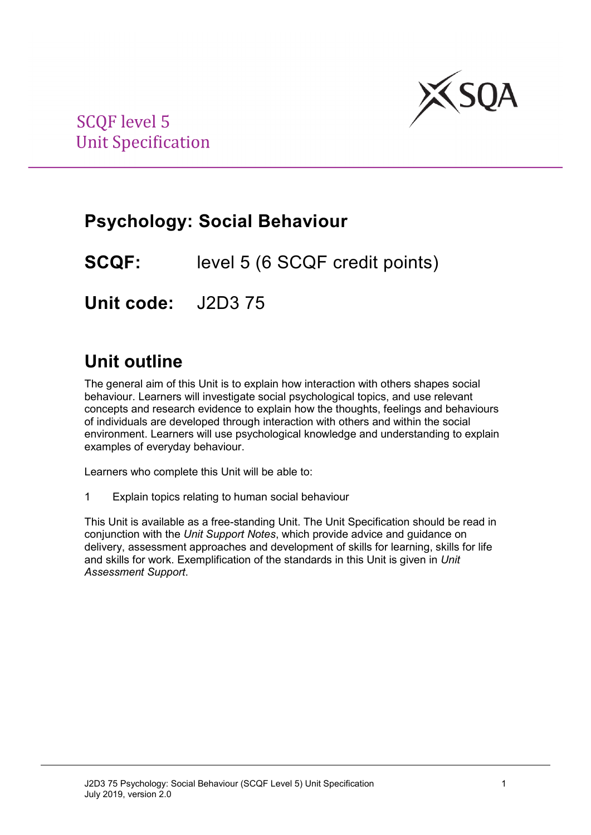

# **Psychology: Social Behaviour**

**SCQF:** level 5 (6 SCQF credit points)

**Unit code:** J2D3 75

# **Unit outline**

The general aim of this Unit is to explain how interaction with others shapes social behaviour. Learners will investigate social psychological topics, and use relevant concepts and research evidence to explain how the thoughts, feelings and behaviours of individuals are developed through interaction with others and within the social environment. Learners will use psychological knowledge and understanding to explain examples of everyday behaviour.

Learners who complete this Unit will be able to:

1 Explain topics relating to human social behaviour

This Unit is available as a free-standing Unit. The Unit Specification should be read in conjunction with the *Unit Support Notes*, which provide advice and guidance on delivery, assessment approaches and development of skills for learning, skills for life and skills for work. Exemplification of the standards in this Unit is given in *Unit Assessment Support*.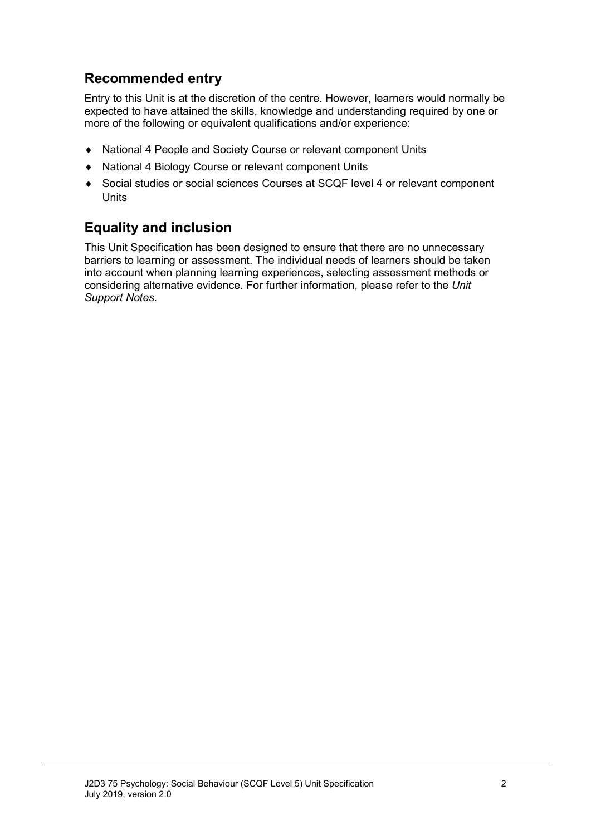### **Recommended entry**

Entry to this Unit is at the discretion of the centre. However, learners would normally be expected to have attained the skills, knowledge and understanding required by one or more of the following or equivalent qualifications and/or experience:

- ♦ National 4 People and Society Course or relevant component Units
- National 4 Biology Course or relevant component Units
- ♦ Social studies or social sciences Courses at SCQF level 4 or relevant component Units

### **Equality and inclusion**

This Unit Specification has been designed to ensure that there are no unnecessary barriers to learning or assessment. The individual needs of learners should be taken into account when planning learning experiences, selecting assessment methods or considering alternative evidence. For further information, please refer to the *Unit Support Notes.*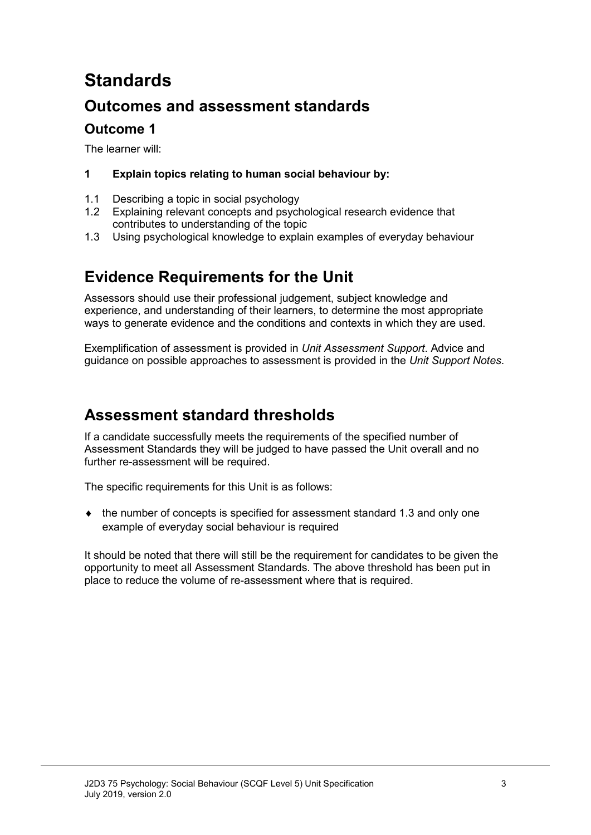# **Standards**

### **Outcomes and assessment standards**

### **Outcome 1**

The learner will:

#### **1 Explain topics relating to human social behaviour by:**

- 1.1 Describing a topic in social psychology<br>1.2 Explaining relevant concepts and psych
- Explaining relevant concepts and psychological research evidence that contributes to understanding of the topic
- 1.3 Using psychological knowledge to explain examples of everyday behaviour

### **Evidence Requirements for the Unit**

Assessors should use their professional judgement, subject knowledge and experience, and understanding of their learners, to determine the most appropriate ways to generate evidence and the conditions and contexts in which they are used.

Exemplification of assessment is provided in *Unit Assessment Support*. Advice and guidance on possible approaches to assessment is provided in the *Unit Support Notes*.

### **Assessment standard thresholds**

If a candidate successfully meets the requirements of the specified number of Assessment Standards they will be judged to have passed the Unit overall and no further re-assessment will be required.

The specific requirements for this Unit is as follows:

♦ the number of concepts is specified for assessment standard 1.3 and only one example of everyday social behaviour is required

It should be noted that there will still be the requirement for candidates to be given the opportunity to meet all Assessment Standards. The above threshold has been put in place to reduce the volume of re-assessment where that is required.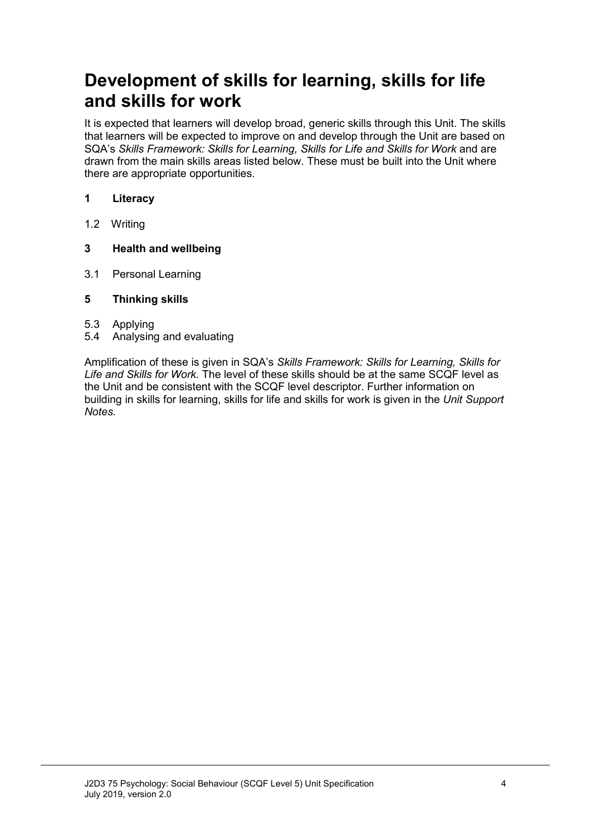# **Development of skills for learning, skills for life and skills for work**

It is expected that learners will develop broad, generic skills through this Unit. The skills that learners will be expected to improve on and develop through the Unit are based on SQA's Skills Framework: Skills for Learning, Skills for Life and Skills for Work and are drawn from the main skills areas listed below. These must be built into the Unit where there are appropriate opportunities.

#### **1 Literacy**

1.2 Writing

#### **3 Health and wellbeing**

3.1 Personal Learning

#### **5 Thinking skills**

- 5.3 Applying
- 5.4 Analysing and evaluating

Amplification of these is given in SQA's *Skills Framework: Skills for Learning, Skills for Life and Skills for Work.* The level of these skills should be at the same SCQF level as the Unit and be consistent with the SCQF level descriptor. Further information on building in skills for learning, skills for life and skills for work is given in the *Unit Support Notes.*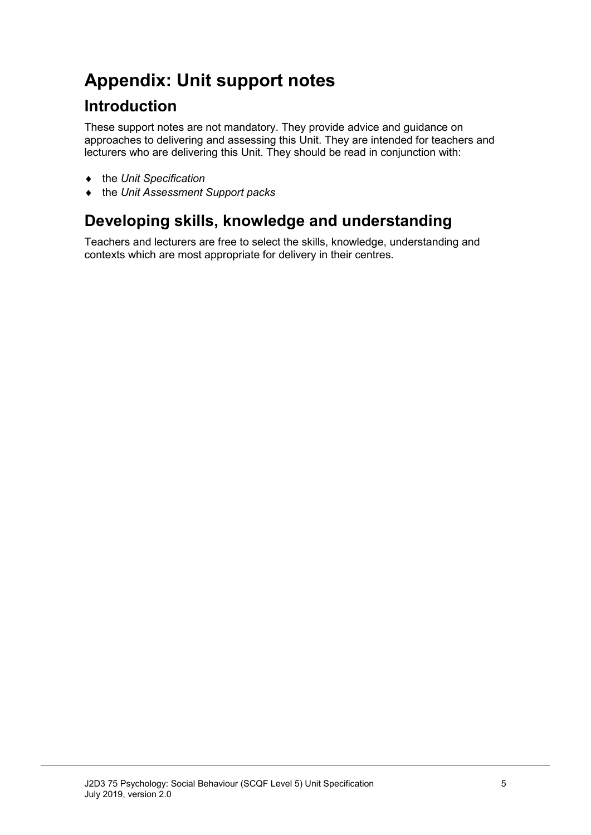# **Appendix: Unit support notes**

### **Introduction**

These support notes are not mandatory. They provide advice and guidance on approaches to delivering and assessing this Unit. They are intended for teachers and lecturers who are delivering this Unit. They should be read in conjunction with:

- ♦ the *Unit Specification*
- ♦ the *Unit Assessment Support packs*

### **Developing skills, knowledge and understanding**

Teachers and lecturers are free to select the skills, knowledge, understanding and contexts which are most appropriate for delivery in their centres.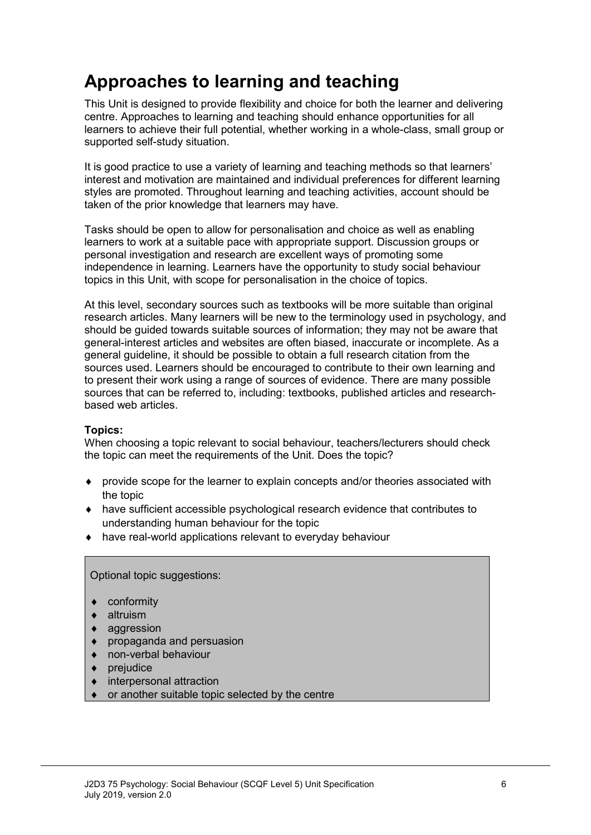# **Approaches to learning and teaching**

This Unit is designed to provide flexibility and choice for both the learner and delivering centre. Approaches to learning and teaching should enhance opportunities for all learners to achieve their full potential, whether working in a whole-class, small group or supported self-study situation.

It is good practice to use a variety of learning and teaching methods so that learners' interest and motivation are maintained and individual preferences for different learning styles are promoted. Throughout learning and teaching activities, account should be taken of the prior knowledge that learners may have.

Tasks should be open to allow for personalisation and choice as well as enabling learners to work at a suitable pace with appropriate support. Discussion groups or personal investigation and research are excellent ways of promoting some independence in learning. Learners have the opportunity to study social behaviour topics in this Unit, with scope for personalisation in the choice of topics.

At this level, secondary sources such as textbooks will be more suitable than original research articles. Many learners will be new to the terminology used in psychology, and should be guided towards suitable sources of information; they may not be aware that general-interest articles and websites are often biased, inaccurate or incomplete. As a general guideline, it should be possible to obtain a full research citation from the sources used. Learners should be encouraged to contribute to their own learning and to present their work using a range of sources of evidence. There are many possible sources that can be referred to, including: textbooks, published articles and researchbased web articles.

#### **Topics:**

When choosing a topic relevant to social behaviour, teachers/lecturers should check the topic can meet the requirements of the Unit. Does the topic?

- ♦ provide scope for the learner to explain concepts and/or theories associated with the topic
- ♦ have sufficient accessible psychological research evidence that contributes to understanding human behaviour for the topic
- ♦ have real-world applications relevant to everyday behaviour

Optional topic suggestions:

- ♦ conformity
- altruism
- aggression
- propaganda and persuasion
- non-verbal behaviour
- prejudice
- interpersonal attraction
- or another suitable topic selected by the centre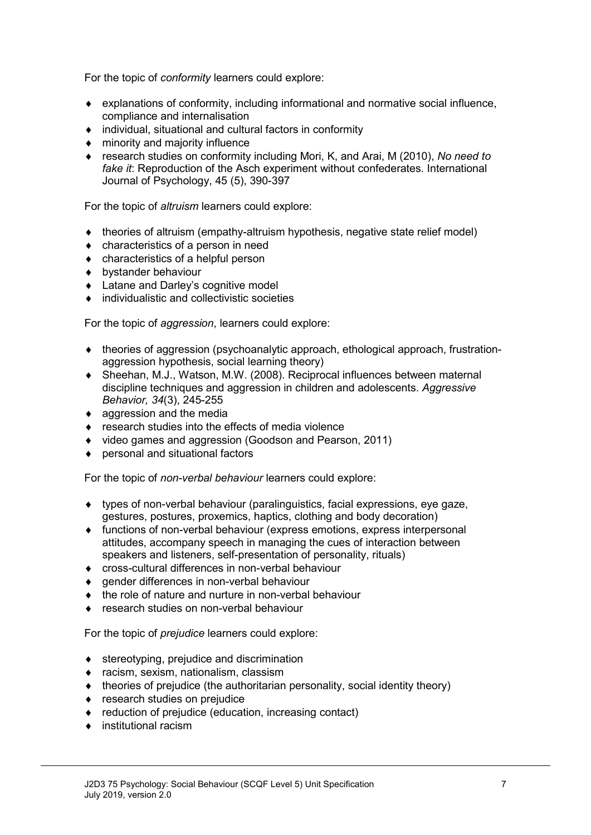For the topic of *conformity* learners could explore:

- $\bullet$  explanations of conformity, including informational and normative social influence, compliance and internalisation
- ♦ individual, situational and cultural factors in conformity
- ♦ minority and majority influence
- ♦ research studies on conformity including Mori, K, and Arai, M (2010), *No need to fake it*: Reproduction of the Asch experiment without confederates. International Journal of Psychology, 45 (5), 390-397

For the topic of *altruism* learners could explore:

- ♦ theories of altruism (empathy-altruism hypothesis, negative state relief model)
- ♦ characteristics of a person in need
- ♦ characteristics of a helpful person
- ♦ bystander behaviour
- ♦ Latane and Darley's cognitive model
- $\bullet$  individualistic and collectivistic societies

For the topic of *aggression*, learners could explore:

- ♦ theories of aggression (psychoanalytic approach, ethological approach, frustrationaggression hypothesis, social learning theory)
- ♦ Sheehan, M.J., Watson, M.W. (2008). Reciprocal influences between maternal discipline techniques and aggression in children and adolescents. *Aggressive Behavior, 34*(3), 245-255
- ♦ aggression and the media
- ♦ research studies into the effects of media violence
- ♦ video games and aggression (Goodson and Pearson, 2011)
- ♦ personal and situational factors

For the topic of *non-verbal behaviour* learners could explore:

- ♦ types of non-verbal behaviour (paralinguistics, facial expressions, eye gaze, gestures, postures, proxemics, haptics, clothing and body decoration)
- ♦ functions of non-verbal behaviour (express emotions, express interpersonal attitudes, accompany speech in managing the cues of interaction between speakers and listeners, self-presentation of personality, rituals)
- ♦ cross-cultural differences in non-verbal behaviour
- ♦ gender differences in non-verbal behaviour
- ♦ the role of nature and nurture in non-verbal behaviour
- ♦ research studies on non-verbal behaviour

For the topic of *prejudice* learners could explore:

- ♦ stereotyping, prejudice and discrimination
- ♦ racism, sexism, nationalism, classism
- ♦ theories of prejudice (the authoritarian personality, social identity theory)
- ♦ research studies on prejudice
- ♦ reduction of prejudice (education, increasing contact)
- ♦ institutional racism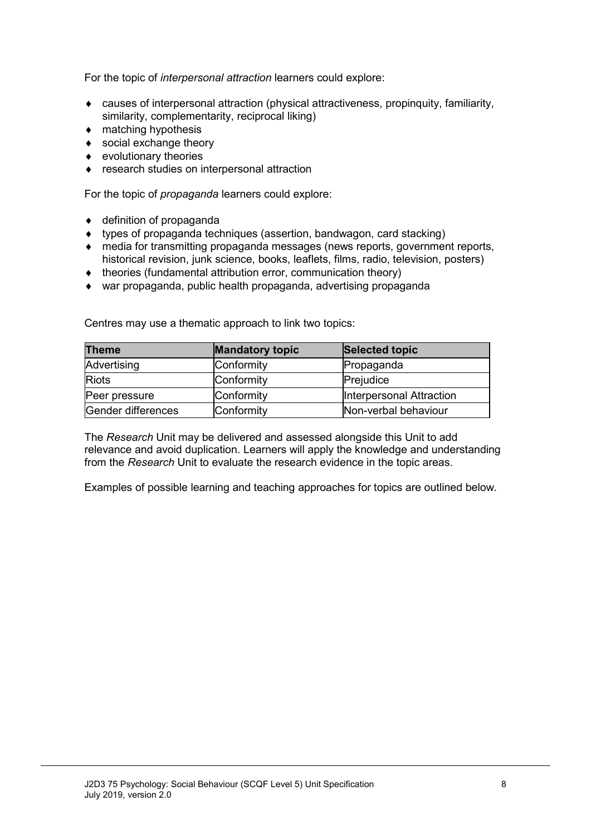For the topic of *interpersonal attraction* learners could explore:

- ♦ causes of interpersonal attraction (physical attractiveness, propinquity, familiarity, similarity, complementarity, reciprocal liking)
- $\bullet$  matching hypothesis
- ♦ social exchange theory
- ♦ evolutionary theories
- ♦ research studies on interpersonal attraction

For the topic of *propaganda* learners could explore:

- ♦ definition of propaganda
- ♦ types of propaganda techniques (assertion, bandwagon, card stacking)
- ♦ media for transmitting propaganda messages (news reports, government reports, historical revision, junk science, books, leaflets, films, radio, television, posters)
- ♦ theories (fundamental attribution error, communication theory)
- ♦ war propaganda, public health propaganda, advertising propaganda

| <b>Theme</b>       | <b>Mandatory topic</b> | Selected topic           |
|--------------------|------------------------|--------------------------|
| Advertising        | Conformity             | Propaganda               |
| <b>Riots</b>       | Conformity             | Prejudice                |
| Peer pressure      | Conformity             | Interpersonal Attraction |
| Gender differences | Conformity             | Non-verbal behaviour     |

Centres may use a thematic approach to link two topics:

The *Research* Unit may be delivered and assessed alongside this Unit to add relevance and avoid duplication. Learners will apply the knowledge and understanding from the *Research* Unit to evaluate the research evidence in the topic areas.

Examples of possible learning and teaching approaches for topics are outlined below.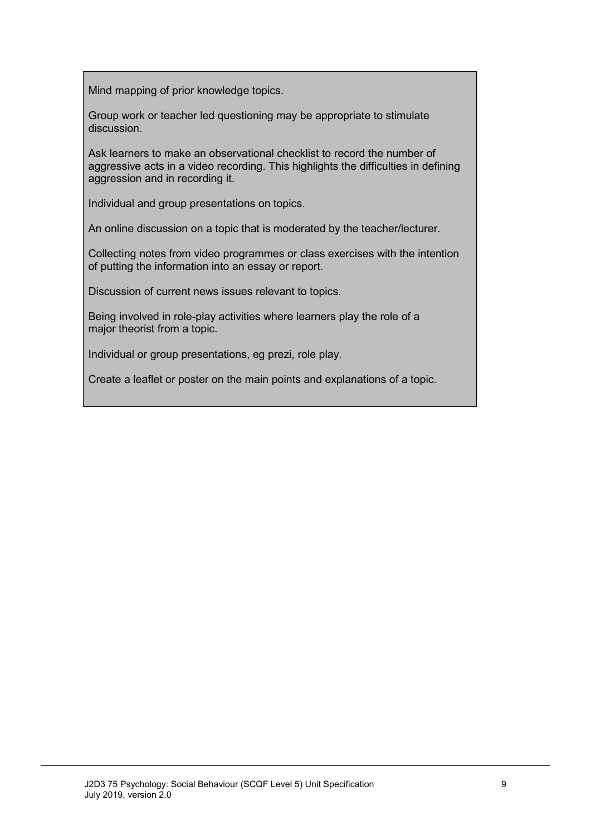Mind mapping of prior knowledge topics.

Group work or teacher led questioning may be appropriate to stimulate discussion.

Ask learners to make an observational checklist to record the number of aggressive acts in a video recording. This highlights the difficulties in defining aggression and in recording it.

Individual and group presentations on topics.

An online discussion on a topic that is moderated by the teacher/lecturer.

Collecting notes from video programmes or class exercises with the intention of putting the information into an essay or report.

Discussion of current news issues relevant to topics.

Being involved in role-play activities where learners play the role of a major theorist from a topic.

Individual or group presentations, eg prezi, role play.

Create a leaflet or poster on the main points and explanations of a topic.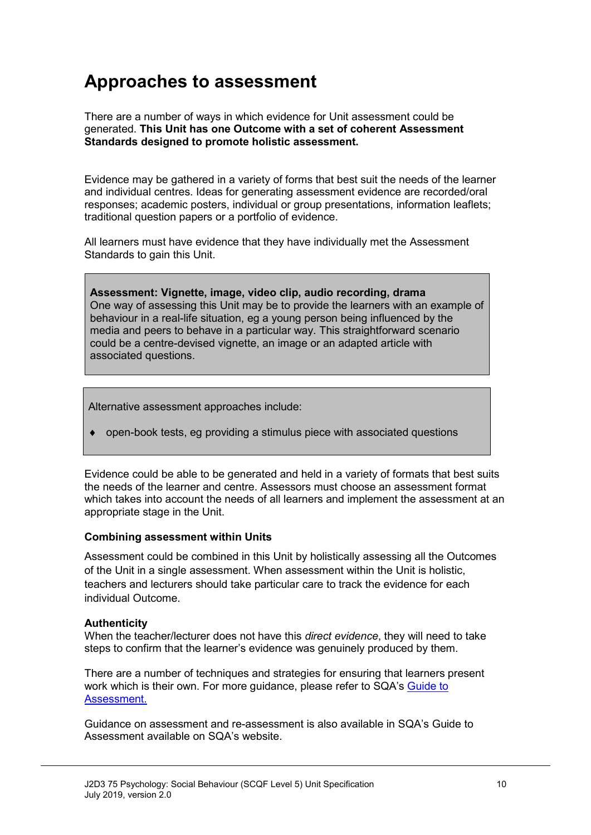## **Approaches to assessment**

There are a number of ways in which evidence for Unit assessment could be generated. **This Unit has one Outcome with a set of coherent Assessment Standards designed to promote holistic assessment.**

Evidence may be gathered in a variety of forms that best suit the needs of the learner and individual centres. Ideas for generating assessment evidence are recorded/oral responses; academic posters, individual or group presentations, information leaflets; traditional question papers or a portfolio of evidence.

All learners must have evidence that they have individually met the Assessment Standards to gain this Unit.

**Assessment: Vignette, image, video clip, audio recording, drama** One way of assessing this Unit may be to provide the learners with an example of behaviour in a real-life situation, eg a young person being influenced by the media and peers to behave in a particular way. This straightforward scenario could be a centre-devised vignette, an image or an adapted article with associated questions.

Alternative assessment approaches include:

♦ open-book tests, eg providing a stimulus piece with associated questions

Evidence could be able to be generated and held in a variety of formats that best suits the needs of the learner and centre. Assessors must choose an assessment format which takes into account the needs of all learners and implement the assessment at an appropriate stage in the Unit.

#### **Combining assessment within Units**

Assessment could be combined in this Unit by holistically assessing all the Outcomes of the Unit in a single assessment. When assessment within the Unit is holistic, teachers and lecturers should take particular care to track the evidence for each individual Outcome.

#### **Authenticity**

When the teacher/lecturer does not have this *direct evidence*, they will need to take steps to confirm that the learner's evidence was genuinely produced by them.

There are a number of techniques and strategies for ensuring that learners present work which is their own. For more guidance, please refer to SQA's Guide to [Assessment.](http://www.sqa.org.uk/files_ccc/GuideToAssessment.pdf)

Guidance on assessment and re-assessment is also available in SQA's Guide to Assessment available on SQA's website.